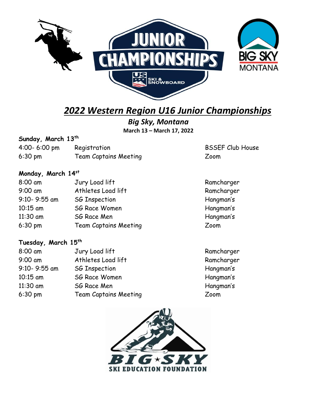

# *2022 Western Region U16 Junior Championships*

**BSSEF Club House** 

Ramcharger Ramcharger Hangman's Hangman's Hangman's

*Big Sky, Montana* **March 13 – March 17, 2022**

### **Sunday, March 13th**

| $4:00 - 6:00$ pm | Registration                 | <b>BSSE</b> |
|------------------|------------------------------|-------------|
| $6:30$ pm        | <b>Team Captains Meeting</b> | Zoom        |

## **Monday, March 14st**

| 8:00 am           | Jury Load lift               | Ramc  |
|-------------------|------------------------------|-------|
| $9:00$ am         | Athletes Load lift           | Ramc  |
| 9:10-9:55 am      | <b>SG Inspection</b>         | Hangi |
| $10:15$ am        | <b>SG Race Women</b>         | Hangi |
| $11:30$ am        | SG Race Men                  | Hangi |
| $6:30 \text{ pm}$ | <b>Team Captains Meeting</b> | Zoom  |

## **Tuesday, March 15th**

| 8:00 am      | Jury Load lift               | Ramcharger |
|--------------|------------------------------|------------|
| $9:00$ am    | Athletes Load lift           | Ramcharger |
| 9:10-9:55 am | <b>SG Inspection</b>         | Hangman's  |
| $10:15$ am   | <b>SG Race Women</b>         | Hangman's  |
| 11:30 am     | SG Race Men                  | Hangman's  |
| $6:30$ pm    | <b>Team Captains Meeting</b> | Zoom       |
|              |                              |            |